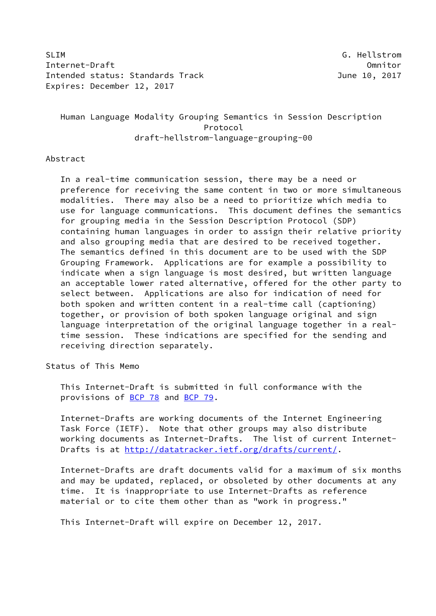SLIM G. Hellstrom Internet-Draft Omnitor Intended status: Standards Track and the control of the 10, 2017 Expires: December 12, 2017

# Human Language Modality Grouping Semantics in Session Description Protocol draft-hellstrom-language-grouping-00

# Abstract

 In a real-time communication session, there may be a need or preference for receiving the same content in two or more simultaneous modalities. There may also be a need to prioritize which media to use for language communications. This document defines the semantics for grouping media in the Session Description Protocol (SDP) containing human languages in order to assign their relative priority and also grouping media that are desired to be received together. The semantics defined in this document are to be used with the SDP Grouping Framework. Applications are for example a possibility to indicate when a sign language is most desired, but written language an acceptable lower rated alternative, offered for the other party to select between. Applications are also for indication of need for both spoken and written content in a real-time call (captioning) together, or provision of both spoken language original and sign language interpretation of the original language together in a real time session. These indications are specified for the sending and receiving direction separately.

### Status of This Memo

 This Internet-Draft is submitted in full conformance with the provisions of [BCP 78](https://datatracker.ietf.org/doc/pdf/bcp78) and [BCP 79](https://datatracker.ietf.org/doc/pdf/bcp79).

 Internet-Drafts are working documents of the Internet Engineering Task Force (IETF). Note that other groups may also distribute working documents as Internet-Drafts. The list of current Internet- Drafts is at<http://datatracker.ietf.org/drafts/current/>.

 Internet-Drafts are draft documents valid for a maximum of six months and may be updated, replaced, or obsoleted by other documents at any time. It is inappropriate to use Internet-Drafts as reference material or to cite them other than as "work in progress."

This Internet-Draft will expire on December 12, 2017.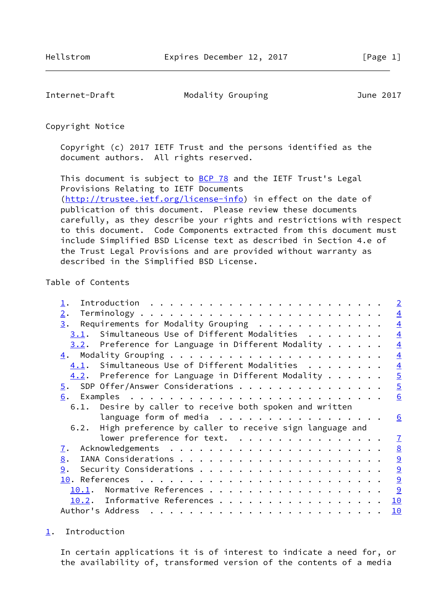<span id="page-1-1"></span>Internet-Draft Modality Grouping Modes June 2017

Copyright Notice

 Copyright (c) 2017 IETF Trust and the persons identified as the document authors. All rights reserved.

This document is subject to **[BCP 78](https://datatracker.ietf.org/doc/pdf/bcp78)** and the IETF Trust's Legal Provisions Relating to IETF Documents [\(http://trustee.ietf.org/license-info](http://trustee.ietf.org/license-info)) in effect on the date of publication of this document. Please review these documents carefully, as they describe your rights and restrictions with respect to this document. Code Components extracted from this document must include Simplified BSD License text as described in Section 4.e of the Trust Legal Provisions and are provided without warranty as

described in the Simplified BSD License.

# Table of Contents

|                  |                                                              |  |  | $\overline{2}$  |
|------------------|--------------------------------------------------------------|--|--|-----------------|
| 2.               |                                                              |  |  | $\overline{4}$  |
| 3.               | Requirements for Modality Grouping                           |  |  | $\overline{4}$  |
| 3.1.             | Simultaneous Use of Different Modalities                     |  |  | $\overline{4}$  |
|                  | $3.2$ . Preference for Language in Different Modality        |  |  | $\overline{4}$  |
|                  |                                                              |  |  | $\overline{4}$  |
|                  | $4.1$ . Simultaneous Use of Different Modalities             |  |  | $\overline{4}$  |
|                  | $4.2$ . Preference for Language in Different Modality        |  |  | $\overline{5}$  |
|                  | $\overline{5}$ . SDP Offer/Answer Considerations             |  |  | $\overline{5}$  |
|                  |                                                              |  |  | 6               |
| 6.1.             | Desire by caller to receive both spoken and written          |  |  |                 |
|                  | language form of media $\dots \dots \dots \dots \dots \dots$ |  |  | <u>_6</u>       |
| 6.2.             | High preference by caller to receive sign language and       |  |  |                 |
|                  | lower preference for text.                                   |  |  | $\mathbf{I}$    |
| <u>7</u> .       |                                                              |  |  | $\underline{8}$ |
| 8.               |                                                              |  |  | $\overline{9}$  |
| 9.               |                                                              |  |  | $\overline{9}$  |
|                  |                                                              |  |  | $\overline{9}$  |
| 10.1.            | Normative References                                         |  |  | 9               |
|                  | 10.2. Informative References                                 |  |  | 10              |
| Author's Address |                                                              |  |  | 10              |

#### <span id="page-1-0"></span>[1](#page-1-0). Introduction

 In certain applications it is of interest to indicate a need for, or the availability of, transformed version of the contents of a media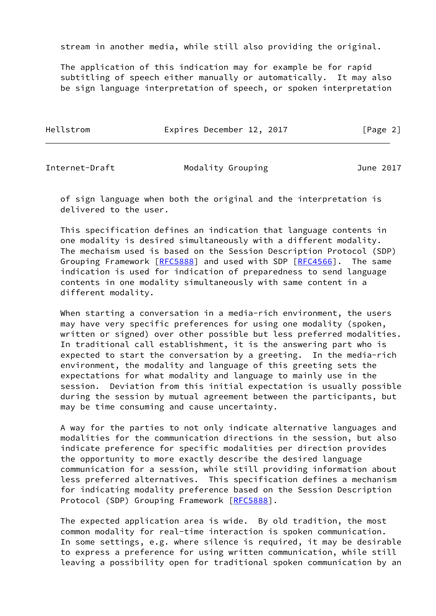stream in another media, while still also providing the original.

 The application of this indication may for example be for rapid subtitling of speech either manually or automatically. It may also be sign language interpretation of speech, or spoken interpretation

Hellstrom **Expires December 12, 2017** [Page 2]

Internet-Draft Modality Grouping June 2017

 of sign language when both the original and the interpretation is delivered to the user.

 This specification defines an indication that language contents in one modality is desired simultaneously with a different modality. The mechaism used is based on the Session Description Protocol (SDP) Grouping Framework [[RFC5888\]](https://datatracker.ietf.org/doc/pdf/rfc5888) and used with SDP [\[RFC4566](https://datatracker.ietf.org/doc/pdf/rfc4566)]. The same indication is used for indication of preparedness to send language contents in one modality simultaneously with same content in a different modality.

 When starting a conversation in a media-rich environment, the users may have very specific preferences for using one modality (spoken, written or signed) over other possible but less preferred modalities. In traditional call establishment, it is the answering part who is expected to start the conversation by a greeting. In the media-rich environment, the modality and language of this greeting sets the expectations for what modality and language to mainly use in the session. Deviation from this initial expectation is usually possible during the session by mutual agreement between the participants, but may be time consuming and cause uncertainty.

 A way for the parties to not only indicate alternative languages and modalities for the communication directions in the session, but also indicate preference for specific modalities per direction provides the opportunity to more exactly describe the desired language communication for a session, while still providing information about less preferred alternatives. This specification defines a mechanism for indicating modality preference based on the Session Description Protocol (SDP) Grouping Framework [[RFC5888](https://datatracker.ietf.org/doc/pdf/rfc5888)].

 The expected application area is wide. By old tradition, the most common modality for real-time interaction is spoken communication. In some settings, e.g. where silence is required, it may be desirable to express a preference for using written communication, while still leaving a possibility open for traditional spoken communication by an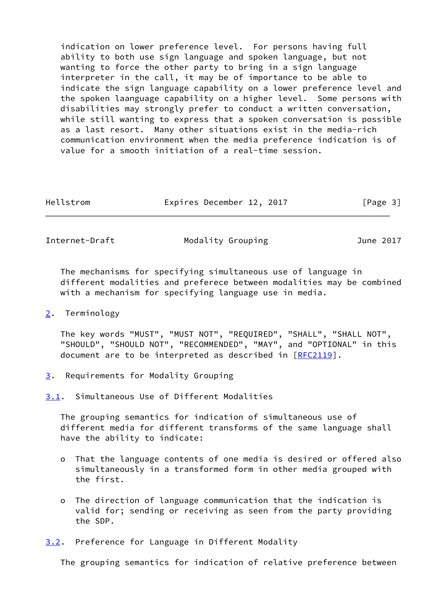indication on lower preference level. For persons having full ability to both use sign language and spoken language, but not wanting to force the other party to bring in a sign language interpreter in the call, it may be of importance to be able to indicate the sign language capability on a lower preference level and the spoken laanguage capability on a higher level. Some persons with disabilities may strongly prefer to conduct a written conversation, while still wanting to express that a spoken conversation is possible as a last resort. Many other situations exist in the media-rich communication environment when the media preference indication is of value for a smooth initiation of a real-time session.

| Hellstrom | Expires December 12, 2017 | [Page 3] |
|-----------|---------------------------|----------|
|           |                           |          |

<span id="page-3-1"></span>Internet-Draft Modality Grouping Modes June 2017

 The mechanisms for specifying simultaneous use of language in different modalities and preferece between modalities may be combined with a mechanism for specifying language use in media.

<span id="page-3-0"></span>[2](#page-3-0). Terminology

 The key words "MUST", "MUST NOT", "REQUIRED", "SHALL", "SHALL NOT", "SHOULD", "SHOULD NOT", "RECOMMENDED", "MAY", and "OPTIONAL" in this document are to be interpreted as described in [\[RFC2119](https://datatracker.ietf.org/doc/pdf/rfc2119)].

<span id="page-3-2"></span>[3](#page-3-2). Requirements for Modality Grouping

<span id="page-3-3"></span>[3.1](#page-3-3). Simultaneous Use of Different Modalities

 The grouping semantics for indication of simultaneous use of different media for different transforms of the same language shall have the ability to indicate:

- o That the language contents of one media is desired or offered also simultaneously in a transformed form in other media grouped with the first.
- o The direction of language communication that the indication is valid for; sending or receiving as seen from the party providing the SDP.

<span id="page-3-4"></span>[3.2](#page-3-4). Preference for Language in Different Modality

The grouping semantics for indication of relative preference between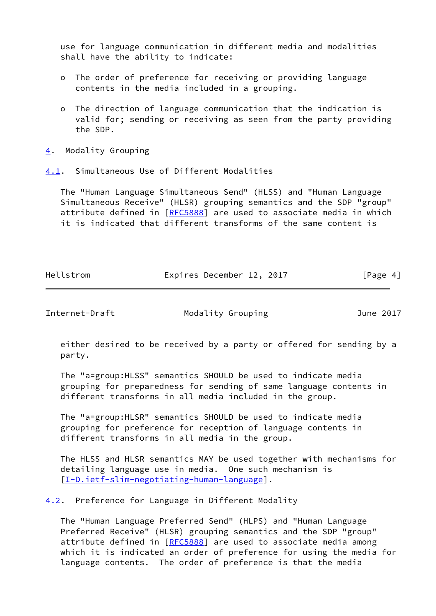use for language communication in different media and modalities shall have the ability to indicate:

- o The order of preference for receiving or providing language contents in the media included in a grouping.
- o The direction of language communication that the indication is valid for; sending or receiving as seen from the party providing the SDP.
- <span id="page-4-0"></span>[4](#page-4-0). Modality Grouping

<span id="page-4-1"></span>[4.1](#page-4-1). Simultaneous Use of Different Modalities

 The "Human Language Simultaneous Send" (HLSS) and "Human Language Simultaneous Receive" (HLSR) grouping semantics and the SDP "group" attribute defined in [\[RFC5888](https://datatracker.ietf.org/doc/pdf/rfc5888)] are used to associate media in which it is indicated that different transforms of the same content is

| Hellstrom | Expires December 12, 2017 |          |
|-----------|---------------------------|----------|
|           |                           | [Page 4] |

<span id="page-4-3"></span>

Internet-Draft Modality Grouping Modes June 2017

 either desired to be received by a party or offered for sending by a party.

 The "a=group:HLSS" semantics SHOULD be used to indicate media grouping for preparedness for sending of same language contents in different transforms in all media included in the group.

 The "a=group:HLSR" semantics SHOULD be used to indicate media grouping for preference for reception of language contents in different transforms in all media in the group.

 The HLSS and HLSR semantics MAY be used together with mechanisms for detailing language use in media. One such mechanism is [\[I-D.ietf-slim-negotiating-human-language](#page-10-2)].

<span id="page-4-2"></span>[4.2](#page-4-2). Preference for Language in Different Modality

 The "Human Language Preferred Send" (HLPS) and "Human Language Preferred Receive" (HLSR) grouping semantics and the SDP "group" attribute defined in [\[RFC5888](https://datatracker.ietf.org/doc/pdf/rfc5888)] are used to associate media among which it is indicated an order of preference for using the media for language contents. The order of preference is that the media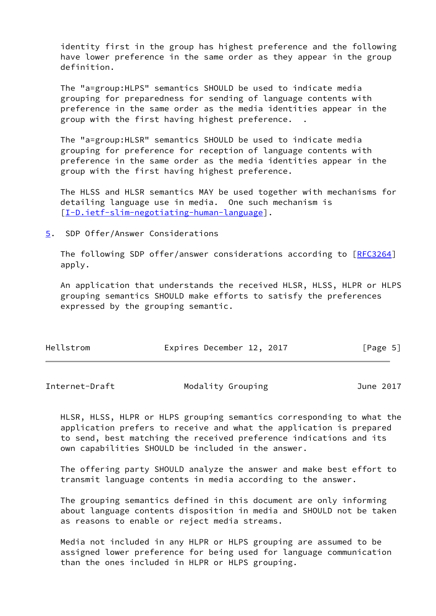identity first in the group has highest preference and the following have lower preference in the same order as they appear in the group definition.

 The "a=group:HLPS" semantics SHOULD be used to indicate media grouping for preparedness for sending of language contents with preference in the same order as the media identities appear in the group with the first having highest preference. .

 The "a=group:HLSR" semantics SHOULD be used to indicate media grouping for preference for reception of language contents with preference in the same order as the media identities appear in the group with the first having highest preference.

 The HLSS and HLSR semantics MAY be used together with mechanisms for detailing language use in media. One such mechanism is [\[I-D.ietf-slim-negotiating-human-language](#page-10-2)].

<span id="page-5-0"></span>[5](#page-5-0). SDP Offer/Answer Considerations

The following SDP offer/answer considerations according to [[RFC3264\]](https://datatracker.ietf.org/doc/pdf/rfc3264) apply.

 An application that understands the received HLSR, HLSS, HLPR or HLPS grouping semantics SHOULD make efforts to satisfy the preferences expressed by the grouping semantic.

| Hellstrom | Expires December 12, 2017 |  | [Page 5] |
|-----------|---------------------------|--|----------|
|-----------|---------------------------|--|----------|

<span id="page-5-1"></span>Internet-Draft Modality Grouping Model June 2017

 HLSR, HLSS, HLPR or HLPS grouping semantics corresponding to what the application prefers to receive and what the application is prepared to send, best matching the received preference indications and its own capabilities SHOULD be included in the answer.

 The offering party SHOULD analyze the answer and make best effort to transmit language contents in media according to the answer.

 The grouping semantics defined in this document are only informing about language contents disposition in media and SHOULD not be taken as reasons to enable or reject media streams.

 Media not included in any HLPR or HLPS grouping are assumed to be assigned lower preference for being used for language communication than the ones included in HLPR or HLPS grouping.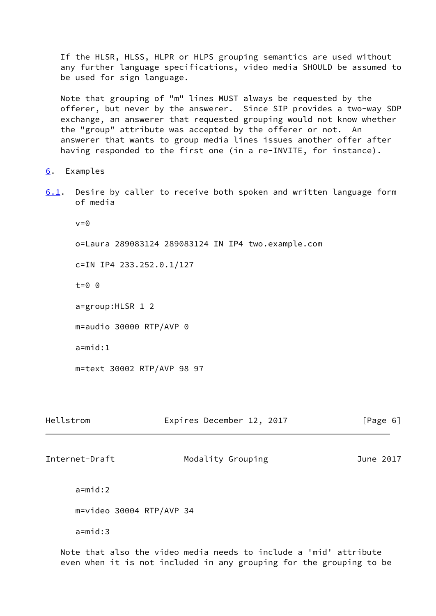If the HLSR, HLSS, HLPR or HLPS grouping semantics are used without any further language specifications, video media SHOULD be assumed to be used for sign language.

 Note that grouping of "m" lines MUST always be requested by the offerer, but never by the answerer. Since SIP provides a two-way SDP exchange, an answerer that requested grouping would not know whether the "group" attribute was accepted by the offerer or not. An answerer that wants to group media lines issues another offer after having responded to the first one (in a re-INVITE, for instance).

<span id="page-6-0"></span>[6](#page-6-0). Examples

<span id="page-6-2"></span>[6.1](#page-6-2). Desire by caller to receive both spoken and written language form of media

 $v=0$ 

o=Laura 289083124 289083124 IN IP4 two.example.com

c=IN IP4 233.252.0.1/127

t=0 0

a=group:HLSR 1 2

m=audio 30000 RTP/AVP 0

a=mid:1

m=text 30002 RTP/AVP 98 97

<span id="page-6-1"></span>

| Hellstrom                  | Expires December 12, 2017 | [Page 6]  |
|----------------------------|---------------------------|-----------|
| Internet-Draft             | Modality Grouping         | June 2017 |
| $a = mid:2$                |                           |           |
| $m=video$ 30004 RTP/AVP 34 |                           |           |

a=mid:3

 Note that also the video media needs to include a 'mid' attribute even when it is not included in any grouping for the grouping to be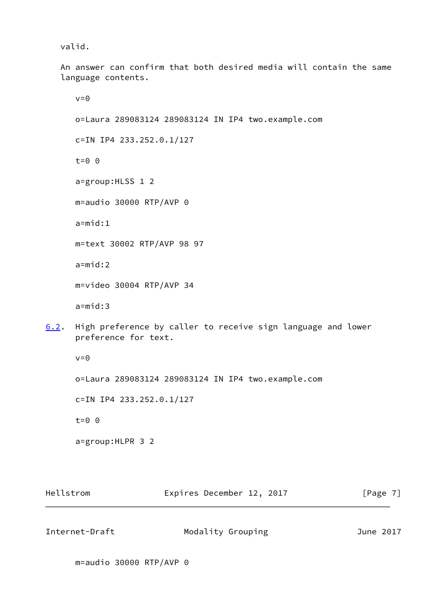valid.

 An answer can confirm that both desired media will contain the same language contents.

 $v=0$  o=Laura 289083124 289083124 IN IP4 two.example.com c=IN IP4 233.252.0.1/127 t=0 0 a=group:HLSS 1 2 m=audio 30000 RTP/AVP 0  $a = mid:1$  m=text 30002 RTP/AVP 98 97 a=mid:2 m=video 30004 RTP/AVP 34 a=mid:3

<span id="page-7-1"></span>[6.2](#page-7-1). High preference by caller to receive sign language and lower preference for text.

 $v=0$ 

o=Laura 289083124 289083124 IN IP4 two.example.com

c=IN IP4 233.252.0.1/127

t=0 0

a=group:HLPR 3 2

Hellstrom **Expires December 12, 2017** [Page 7]

<span id="page-7-0"></span>Internet-Draft Modality Grouping Modes June 2017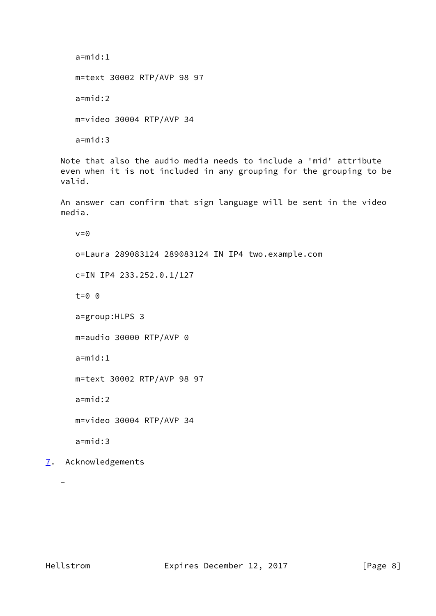```
 a=mid:1
 m=text 30002 RTP/AVP 98 97
 a=mid:2
 m=video 30004 RTP/AVP 34
a = mid:3
```
 Note that also the audio media needs to include a 'mid' attribute even when it is not included in any grouping for the grouping to be valid.

 An answer can confirm that sign language will be sent in the video media.

 $v=0$ 

o=Laura 289083124 289083124 IN IP4 two.example.com

c=IN IP4 233.252.0.1/127

t=0 0

a=group:HLPS 3

m=audio 30000 RTP/AVP 0

a=mid:1

m=text 30002 RTP/AVP 98 97

a=mid:2

m=video 30004 RTP/AVP 34

a=mid:3

<span id="page-8-0"></span>[7](#page-8-0). Acknowledgements

-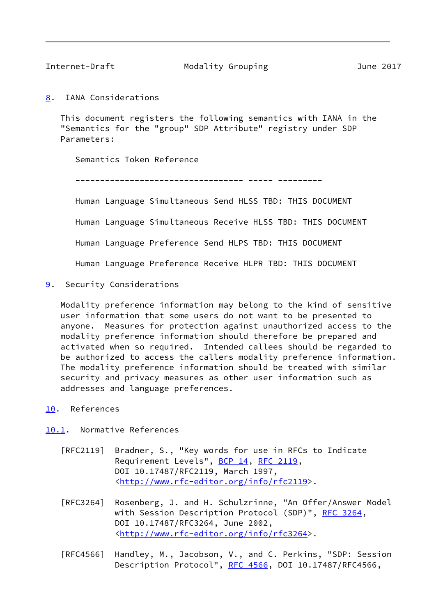<span id="page-9-1"></span>

Internet-Draft Modality Grouping Modes June 2017

<span id="page-9-0"></span>[8](#page-9-0). IANA Considerations

 This document registers the following semantics with IANA in the "Semantics for the "group" SDP Attribute" registry under SDP Parameters:

Semantics Token Reference

---------------------------------- ----- ---------

Human Language Simultaneous Send HLSS TBD: THIS DOCUMENT

Human Language Simultaneous Receive HLSS TBD: THIS DOCUMENT

Human Language Preference Send HLPS TBD: THIS DOCUMENT

Human Language Preference Receive HLPR TBD: THIS DOCUMENT

<span id="page-9-2"></span>[9](#page-9-2). Security Considerations

 Modality preference information may belong to the kind of sensitive user information that some users do not want to be presented to anyone. Measures for protection against unauthorized access to the modality preference information should therefore be prepared and activated when so required. Intended callees should be regarded to be authorized to access the callers modality preference information. The modality preference information should be treated with similar security and privacy measures as other user information such as addresses and language preferences.

<span id="page-9-3"></span>[10.](#page-9-3) References

<span id="page-9-4"></span>[10.1](#page-9-4). Normative References

- [RFC2119] Bradner, S., "Key words for use in RFCs to Indicate Requirement Levels", [BCP 14](https://datatracker.ietf.org/doc/pdf/bcp14), [RFC 2119](https://datatracker.ietf.org/doc/pdf/rfc2119), DOI 10.17487/RFC2119, March 1997, <<http://www.rfc-editor.org/info/rfc2119>>.
- [RFC3264] Rosenberg, J. and H. Schulzrinne, "An Offer/Answer Model with Session Description Protocol (SDP)", [RFC 3264](https://datatracker.ietf.org/doc/pdf/rfc3264), DOI 10.17487/RFC3264, June 2002, <<http://www.rfc-editor.org/info/rfc3264>>.
- [RFC4566] Handley, M., Jacobson, V., and C. Perkins, "SDP: Session Description Protocol", [RFC 4566](https://datatracker.ietf.org/doc/pdf/rfc4566), DOI 10.17487/RFC4566,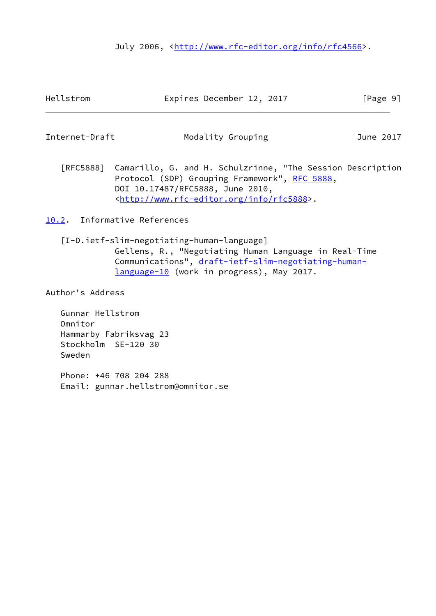July 2006, <<http://www.rfc-editor.org/info/rfc4566>>.

<span id="page-10-1"></span>Internet-Draft Modality Grouping Model June 2017

 [RFC5888] Camarillo, G. and H. Schulzrinne, "The Session Description Protocol (SDP) Grouping Framework", [RFC 5888,](https://datatracker.ietf.org/doc/pdf/rfc5888) DOI 10.17487/RFC5888, June 2010, <<http://www.rfc-editor.org/info/rfc5888>>.

<span id="page-10-0"></span>[10.2](#page-10-0). Informative References

<span id="page-10-2"></span> [I-D.ietf-slim-negotiating-human-language] Gellens, R., "Negotiating Human Language in Real-Time Communications", [draft-ietf-slim-negotiating-human](https://datatracker.ietf.org/doc/pdf/draft-ietf-slim-negotiating-human-language-10) [language-10](https://datatracker.ietf.org/doc/pdf/draft-ietf-slim-negotiating-human-language-10) (work in progress), May 2017.

Author's Address

 Gunnar Hellstrom Omnitor Hammarby Fabriksvag 23 Stockholm SE-120 30 Sweden

 Phone: +46 708 204 288 Email: gunnar.hellstrom@omnitor.se